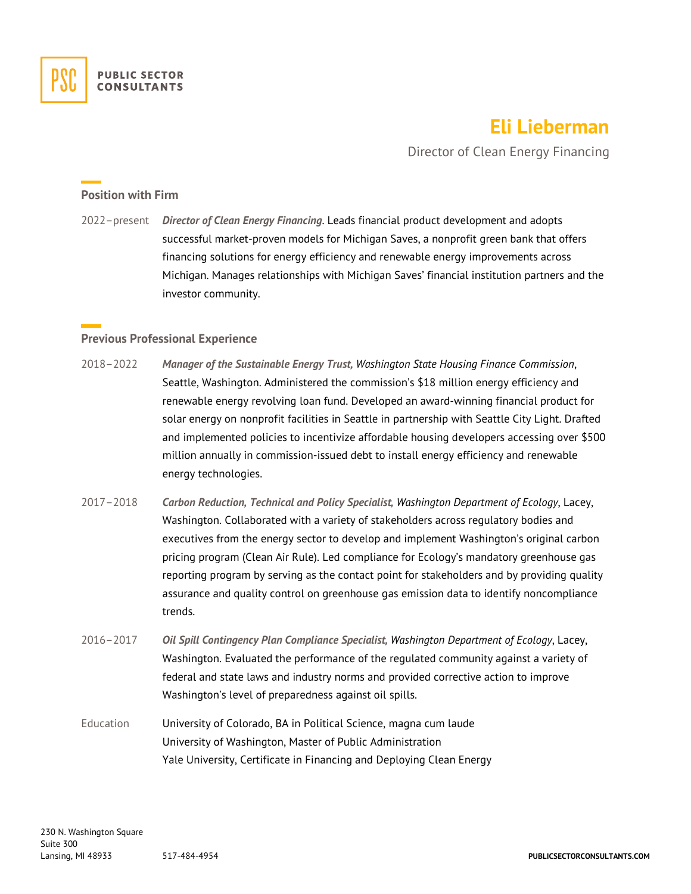

# **Eli Lieberman**

Director of Clean Energy Financing

#### **Position with Firm**

2022–present *Director of Clean Energy Financing*. Leads financial product development and adopts successful market-proven models for Michigan Saves, a nonprofit green bank that offers financing solutions for energy efficiency and renewable energy improvements across Michigan. Manages relationships with Michigan Saves' financial institution partners and the investor community.

## **Previous Professional Experience**

- 2018–2022 *Manager of the Sustainable Energy Trust, Washington State Housing Finance Commission*, Seattle, Washington. Administered the commission's \$18 million energy efficiency and renewable energy revolving loan fund. Developed an award-winning financial product for solar energy on nonprofit facilities in Seattle in partnership with Seattle City Light. Drafted and implemented policies to incentivize affordable housing developers accessing over \$500 million annually in commission-issued debt to install energy efficiency and renewable energy technologies.
- 2017–2018 *Carbon Reduction, Technical and Policy Specialist, Washington Department of Ecology*, Lacey, Washington. Collaborated with a variety of stakeholders across regulatory bodies and executives from the energy sector to develop and implement Washington's original carbon pricing program (Clean Air Rule). Led compliance for Ecology's mandatory greenhouse gas reporting program by serving as the contact point for stakeholders and by providing quality assurance and quality control on greenhouse gas emission data to identify noncompliance trends.
- 2016–2017 *Oil Spill Contingency Plan Compliance Specialist, Washington Department of Ecology*, Lacey, Washington. Evaluated the performance of the regulated community against a variety of federal and state laws and industry norms and provided corrective action to improve Washington's level of preparedness against oil spills.
- Education University of Colorado, BA in Political Science, magna cum laude University of Washington, Master of Public Administration Yale University, Certificate in Financing and Deploying Clean Energy